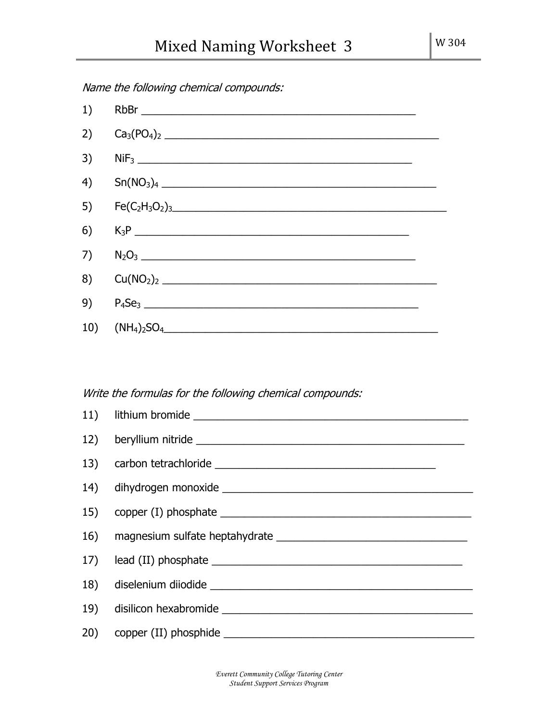$1)$  RbBr  $\blacksquare$ 2) Ca3(PO4)<sup>2</sup> \_\_\_\_\_\_\_\_\_\_\_\_\_\_\_\_\_\_\_\_\_\_\_\_\_\_\_\_\_\_\_\_\_\_\_\_\_\_\_\_\_\_\_\_\_\_ 3) NiF<sup>3</sup> \_\_\_\_\_\_\_\_\_\_\_\_\_\_\_\_\_\_\_\_\_\_\_\_\_\_\_\_\_\_\_\_\_\_\_\_\_\_\_\_\_\_\_\_\_\_ 4) Sn(NO3)<sup>4</sup> \_\_\_\_\_\_\_\_\_\_\_\_\_\_\_\_\_\_\_\_\_\_\_\_\_\_\_\_\_\_\_\_\_\_\_\_\_\_\_\_\_\_\_\_\_\_ 5)  $Fe(C_2H_3O_2)_{3}$  expansion of  $2.5$  and  $2.5$  and  $2.5$  and  $2.5$  and  $2.5$  and  $2.5$  and  $2.5$  and  $2.5$  and  $2.5$  and  $2.5$  and  $2.5$  and  $2.5$  and  $2.5$  and  $2.5$  and  $2.5$  and  $2.5$  and  $2.5$  and  $2.5$  and  $2.5$  an 6) K3P \_\_\_\_\_\_\_\_\_\_\_\_\_\_\_\_\_\_\_\_\_\_\_\_\_\_\_\_\_\_\_\_\_\_\_\_\_\_\_\_\_\_\_\_\_\_  $7)$   $N_2O_3$   $N_3$ 8)  $Cu(NO_2)_2$  $9)$   $P_4$ Se<sub>3</sub>  $\overline{\phantom{a}}$ 10) (NH4)2SO4\_\_\_\_\_\_\_\_\_\_\_\_\_\_\_\_\_\_\_\_\_\_\_\_\_\_\_\_\_\_\_\_\_\_\_\_\_\_\_\_\_\_\_\_\_\_

Name the following chemical compounds:

## Write the formulas for the following chemical compounds:



*Everett Community College Tutoring Center Student Support Services Program*